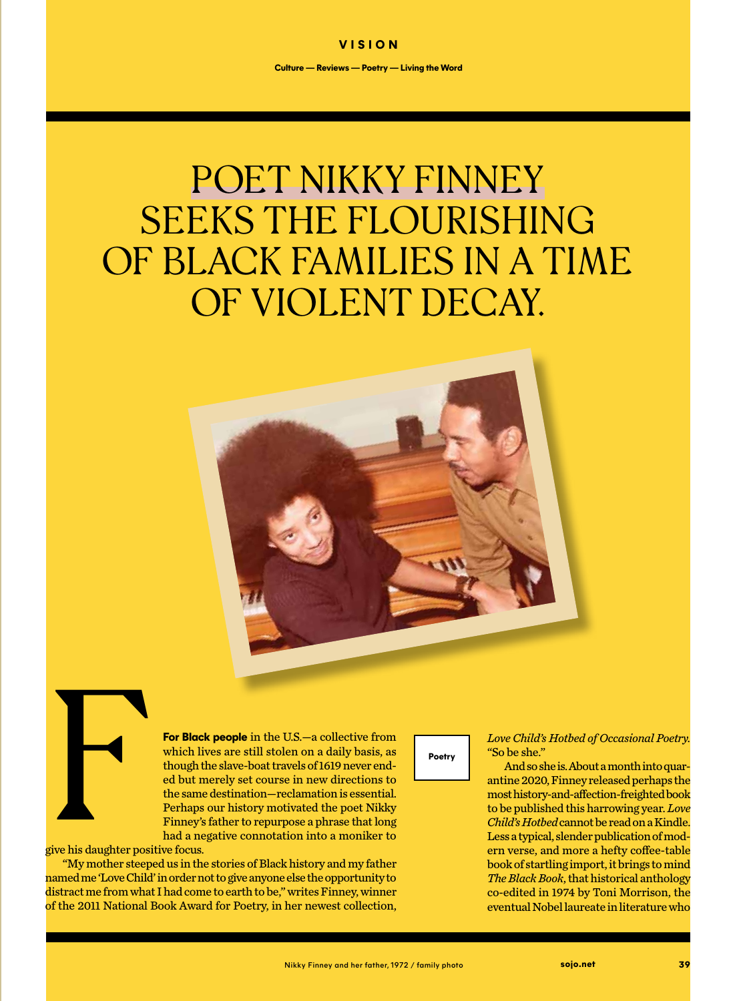## POET NIKKY FINNEY SEEKS THE FLOURISHING OF BLACK FAMILIES IN A TIME OF VIOLENT DECAY.



Five his daughter position

**For Black people** in the U.S.—a collective from which lives are still stolen on a daily basis, as though the slave-boat travels of 1619 never ended but merely set course in new directions to the same destination—reclamation is essential. Perhaps our history motivated the poet Nikky Finney's father to repurpose a phrase that long had a negative connotation into a moniker to

give his daughter positive focus.

"My mother steeped us in the stories of Black history and my father named me 'Love Child' in order not to give anyone else the opportunity to distract me from what I had come to earth to be," writes Finney, winner of the 2011 National Book Award for Poetry, in her newest collection,

**Poetry**

*Love Child's Hotbed of Occasional Poetry.*  "So be she."

And so she is. About a month into quarantine 2020, Finney released perhaps the most history-and-affection-freighted book to be published this harrowing year. *Love Child's Hotbed* cannot be read on a Kindle. Less a typical, slender publication of modern verse, and more a hefty coffee-table book of startling import, it brings to mind *The Black Book*, that historical anthology co-edited in 1974 by Toni Morrison, the eventual Nobel laureate in literature who